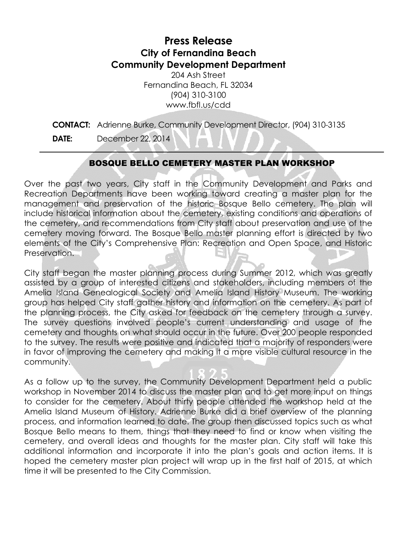## **Press Release City of Fernandina Beach Community Development Department**

204 Ash Street Fernandina Beach, FL 32034 (904) 310-3100 www.fbfl.us/cdd

**CONTACT:** Adrienne Burke, Community Development Director, (904) 310-3135 **DATE:** December 22, 2014

## BOSQUE BELLO CEMETERY MASTER PLAN WORKSHOP

Over the past two years, City staff in the Community Development and Parks and Recreation Departments have been working toward creating a master plan for the management and preservation of the historic Bosque Bello cemetery. The plan will include historical information about the cemetery, existing conditions and operations of the cemetery, and recommendations from City staff about preservation and use of the cemetery moving forward. The Bosque Bello master planning effort is directed by two elements of the City's Comprehensive Plan: Recreation and Open Space, and Historic Preservation.

City staff began the master planning process during Summer 2012, which was greatly assisted by a group of interested citizens and stakeholders, including members of the Amelia Island Genealogical Society and Amelia Island History Museum. The working group has helped City staff gather history and information on the cemetery. As part of the planning process, the City asked for feedback on the cemetery through a survey. The survey questions involved people's current understanding and usage of the cemetery and thoughts on what should occur in the future. Over 200 people responded to the survey. The results were positive and indicated that a majority of responders were in favor of improving the cemetery and making it a more visible cultural resource in the community.

As a follow up to the survey, the Community Development Department held a public workshop in November 2014 to discuss the master plan and to get more input on things to consider for the cemetery. About thirty people attended the workshop held at the Amelia Island Museum of History. Adrienne Burke did a brief overview of the planning process, and information learned to date. The group then discussed topics such as what Bosque Bello means to them, things that they need to find or know when visiting the cemetery, and overall ideas and thoughts for the master plan. City staff will take this additional information and incorporate it into the plan's goals and action items. It is hoped the cemetery master plan project will wrap up in the first half of 2015, at which time it will be presented to the City Commission.